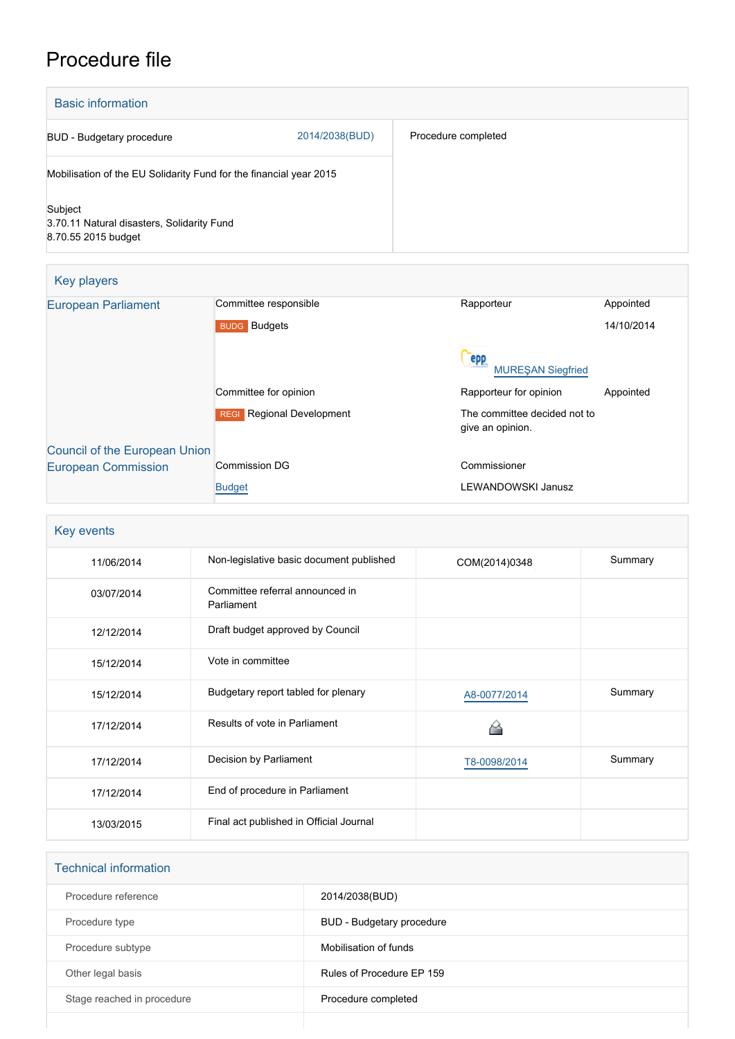# Procedure file

| <b>Basic information</b>                                                     |                |                     |
|------------------------------------------------------------------------------|----------------|---------------------|
| BUD - Budgetary procedure                                                    | 2014/2038(BUD) | Procedure completed |
| Mobilisation of the EU Solidarity Fund for the financial year 2015           |                |                     |
| Subject<br>3.70.11 Natural disasters, Solidarity Fund<br>8.70.55 2015 budget |                |                     |

| Key players                          |                                            |                                                  |            |  |
|--------------------------------------|--------------------------------------------|--------------------------------------------------|------------|--|
| <b>European Parliament</b>           | Committee responsible                      | Rapporteur                                       | Appointed  |  |
|                                      | <b>BUDG</b> Budgets                        |                                                  | 14/10/2014 |  |
|                                      |                                            | epp<br><b>MUREŞAN Siegfried</b>                  |            |  |
|                                      | Committee for opinion                      | Rapporteur for opinion                           | Appointed  |  |
|                                      | <b>Regional Development</b><br><b>REGI</b> | The committee decided not to<br>give an opinion. |            |  |
| <b>Council of the European Union</b> |                                            |                                                  |            |  |
| <b>European Commission</b>           | Commission DG                              | Commissioner                                     |            |  |
|                                      | <b>Budget</b>                              | <b>LEWANDOWSKI Janusz</b>                        |            |  |

| Key events |                                               |               |         |  |
|------------|-----------------------------------------------|---------------|---------|--|
| 11/06/2014 | Non-legislative basic document published      | COM(2014)0348 | Summary |  |
| 03/07/2014 | Committee referral announced in<br>Parliament |               |         |  |
| 12/12/2014 | Draft budget approved by Council              |               |         |  |
| 15/12/2014 | Vote in committee                             |               |         |  |
| 15/12/2014 | Budgetary report tabled for plenary           | A8-0077/2014  | Summary |  |
| 17/12/2014 | Results of vote in Parliament                 |               |         |  |
| 17/12/2014 | Decision by Parliament                        | T8-0098/2014  | Summary |  |
| 17/12/2014 | End of procedure in Parliament                |               |         |  |
| 13/03/2015 | Final act published in Official Journal       |               |         |  |

| <b>Technical information</b> |                           |
|------------------------------|---------------------------|
| Procedure reference          | 2014/2038(BUD)            |
| Procedure type               | BUD - Budgetary procedure |
| Procedure subtype            | Mobilisation of funds     |
| Other legal basis            | Rules of Procedure EP 159 |
| Stage reached in procedure   | Procedure completed       |
|                              |                           |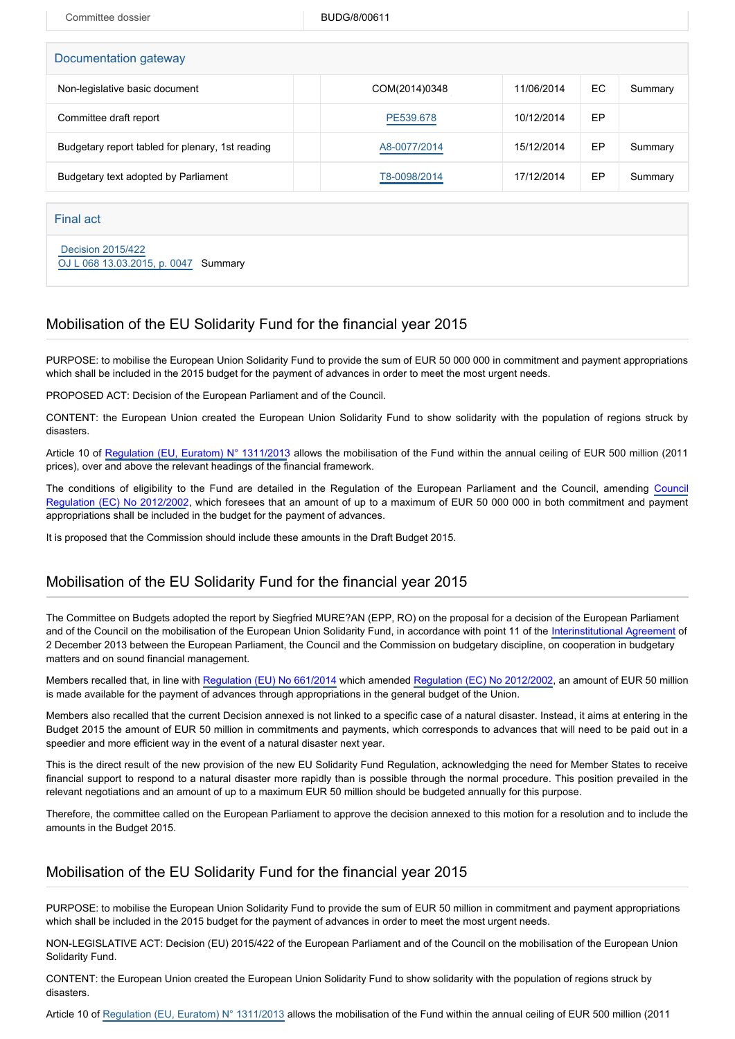Committee dossier and a state BUDG/8/00611

| Documentation gateway                            |               |            |     |         |  |  |
|--------------------------------------------------|---------------|------------|-----|---------|--|--|
| Non-legislative basic document                   | COM(2014)0348 | 11/06/2014 | EC. | Summary |  |  |
| Committee draft report                           | PE539.678     | 10/12/2014 | EP  |         |  |  |
| Budgetary report tabled for plenary, 1st reading | A8-0077/2014  | 15/12/2014 | EP  | Summary |  |  |
| Budgetary text adopted by Parliament             | T8-0098/2014  | 17/12/2014 | EP  | Summary |  |  |
|                                                  |               |            |     |         |  |  |
| Final act                                        |               |            |     |         |  |  |

 [Decision 2015/422](https://eur-lex.europa.eu/smartapi/cgi/sga_doc?smartapi!celexplus!prod!CELEXnumdoc&lg=EN&numdoc=32015D0422) [OJ L 068 13.03.2015, p. 0047](https://eur-lex.europa.eu/legal-content/EN/TXT/?uri=OJ:L:2015:068:TOC) Summary

## Mobilisation of the EU Solidarity Fund for the financial year 2015

PURPOSE: to mobilise the European Union Solidarity Fund to provide the sum of EUR 50 000 000 in commitment and payment appropriations which shall be included in the 2015 budget for the payment of advances in order to meet the most urgent needs.

PROPOSED ACT: Decision of the European Parliament and of the Council.

CONTENT: the European Union created the European Union Solidarity Fund to show solidarity with the population of regions struck by disasters.

Article 10 of [Regulation \(EU, Euratom\) N° 1311/2013](http://www.europarl.europa.eu/oeil/popups/ficheprocedure.do?lang=EN&reference=2011/0177(APP)) allows the mobilisation of the Fund within the annual ceiling of EUR 500 million (2011 prices), over and above the relevant headings of the financial framework.

The conditions of eligibility to the Fund are detailed in the Regulation of the European Parliament and the Council, amending [Council](http://www.europarl.europa.eu/oeil/FindByProcnum.do?lang=en&procnum=CNS/2002/0228) [Regulation \(EC\) No 2012/2002](http://www.europarl.europa.eu/oeil/FindByProcnum.do?lang=en&procnum=CNS/2002/0228), which foresees that an amount of up to a maximum of EUR 50 000 000 in both commitment and payment appropriations shall be included in the budget for the payment of advances.

It is proposed that the Commission should include these amounts in the Draft Budget 2015.

### Mobilisation of the EU Solidarity Fund for the financial year 2015

The Committee on Budgets adopted the report by Siegfried MURE?AN (EPP, RO) on the proposal for a decision of the European Parliament and of the Council on the mobilisation of the European Union Solidarity Fund, in accordance with point 11 of the [Interinstitutional Agreement](http://www.europarl.europa.eu/oeil/popups/ficheprocedure.do?lang=EN&reference=2011/2152(ACI)) of 2 December 2013 between the European Parliament, the Council and the Commission on budgetary discipline, on cooperation in budgetary matters and on sound financial management.

Members recalled that, in line with [Regulation \(EU\) No 661/2014](http://www.europarl.europa.eu/oeil/popups/ficheprocedure.do?lang=EN&reference=2013/0248(COD)) which amended [Regulation \(EC\) No 2012/2002](http://www.europarl.europa.eu/oeil/popups/ficheprocedure.do?lang=EN&reference=2002/0228(CNS)), an amount of EUR 50 million is made available for the payment of advances through appropriations in the general budget of the Union.

Members also recalled that the current Decision annexed is not linked to a specific case of a natural disaster. Instead, it aims at entering in the Budget 2015 the amount of EUR 50 million in commitments and payments, which corresponds to advances that will need to be paid out in a speedier and more efficient way in the event of a natural disaster next year.

This is the direct result of the new provision of the new EU Solidarity Fund Regulation, acknowledging the need for Member States to receive financial support to respond to a natural disaster more rapidly than is possible through the normal procedure. This position prevailed in the relevant negotiations and an amount of up to a maximum EUR 50 million should be budgeted annually for this purpose.

Therefore, the committee called on the European Parliament to approve the decision annexed to this motion for a resolution and to include the amounts in the Budget 2015.

#### Mobilisation of the EU Solidarity Fund for the financial year 2015

PURPOSE: to mobilise the European Union Solidarity Fund to provide the sum of EUR 50 million in commitment and payment appropriations which shall be included in the 2015 budget for the payment of advances in order to meet the most urgent needs.

NON-LEGISLATIVE ACT: Decision (EU) 2015/422 of the European Parliament and of the Council on the mobilisation of the European Union Solidarity Fund.

CONTENT: the European Union created the European Union Solidarity Fund to show solidarity with the population of regions struck by disasters.

Article 10 of [Regulation \(EU, Euratom\) N° 1311/2013](http://www.europarl.europa.eu/oeil/popups/ficheprocedure.do?lang=EN&reference=2011/0177(APP)) allows the mobilisation of the Fund within the annual ceiling of EUR 500 million (2011